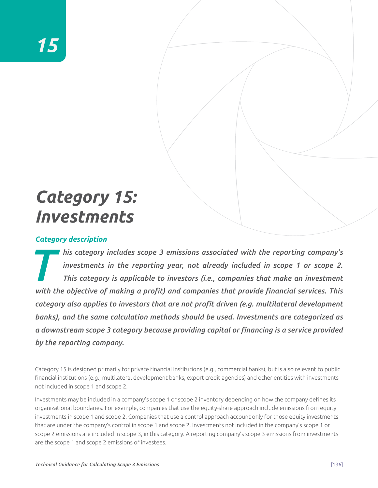# *Category 15: Investments*

# *Category description*

*This category includes scope 3 emissions associated with the reporting company's investments in the reporting year, not already included in scope 1 or scope 2.<br>This category is applicable to investors (i.e., companies tha investments in the reporting year, not already included in scope 1 or scope 2. This category is applicable to investors (i.e., companies that make an investment with the objective of making a profit) and companies that provide financial services. This category also applies to investors that are not profit driven (e.g. multilateral development banks), and the same calculation methods should be used. Investments are categorized as a downstream scope 3 category because providing capital or financing is a service provided by the reporting company.*

Category 15 is designed primarily for private financial institutions (e.g., commercial banks), but is also relevant to public financial institutions (e.g., multilateral development banks, export credit agencies) and other entities with investments not included in scope 1 and scope 2.

Investments may be included in a company's scope 1 or scope 2 inventory depending on how the company defines its organizational boundaries. For example, companies that use the equity-share approach include emissions from equity investments in scope 1 and scope 2. Companies that use a control approach account only for those equity investments that are under the company's control in scope 1 and scope 2. Investments not included in the company's scope 1 or scope 2 emissions are included in scope 3, in this category. A reporting company's scope 3 emissions from investments are the scope 1 and scope 2 emissions of investees.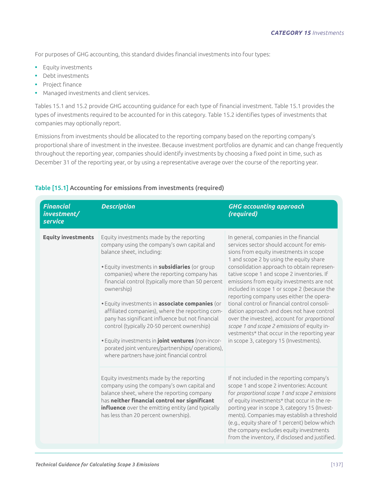For purposes of GHG accounting, this standard divides financial investments into four types:

- **•** Equity investments
- **•** Debt investments
- **•** Project finance
- **•** Managed investments and client services.

Tables 15.1 and 15.2 provide GHG accounting guidance for each type of financial investment. Table 15.1 provides the types of investments required to be accounted for in this category. Table 15.2 identifies types of investments that companies may optionally report.

Emissions from investments should be allocated to the reporting company based on the reporting company's proportional share of investment in the investee. Because investment portfolios are dynamic and can change frequently throughout the reporting year, companies should identify investments by choosing a fixed point in time, such as December 31 of the reporting year, or by using a representative average over the course of the reporting year.

| <b>Financial</b><br>investment/<br><b>service</b> | <b>Description</b>                                                                                                                                                                                                                                                                                                                                                                                                                                                                                                                                                                                                                                         | <b>GHG accounting approach</b><br>(required)                                                                                                                                                                                                                                                                                                                                                                                                                                                                                                                                                                                                                                                     |
|---------------------------------------------------|------------------------------------------------------------------------------------------------------------------------------------------------------------------------------------------------------------------------------------------------------------------------------------------------------------------------------------------------------------------------------------------------------------------------------------------------------------------------------------------------------------------------------------------------------------------------------------------------------------------------------------------------------------|--------------------------------------------------------------------------------------------------------------------------------------------------------------------------------------------------------------------------------------------------------------------------------------------------------------------------------------------------------------------------------------------------------------------------------------------------------------------------------------------------------------------------------------------------------------------------------------------------------------------------------------------------------------------------------------------------|
| <b>Equity investments</b>                         | Equity investments made by the reporting<br>company using the company's own capital and<br>balance sheet, including:<br>· Equity investments in subsidiaries (or group<br>companies) where the reporting company has<br>financial control (typically more than 50 percent<br>ownership)<br>· Equity investments in associate companies (or<br>affiliated companies), where the reporting com-<br>pany has significant influence but not financial<br>control (typically 20-50 percent ownership)<br>. Equity investments in joint ventures (non-incor-<br>porated joint ventures/partnerships/ operations),<br>where partners have joint financial control | In general, companies in the financial<br>services sector should account for emis-<br>sions from equity investments in scope<br>1 and scope 2 by using the equity share<br>consolidation approach to obtain represen-<br>tative scope 1 and scope 2 inventories. If<br>emissions from equity investments are not<br>included in scope 1 or scope 2 (because the<br>reporting company uses either the opera-<br>tional control or financial control consoli-<br>dation approach and does not have control<br>over the investee), account for proportional<br>scope 1 and scope 2 emissions of equity in-<br>vestments* that occur in the reporting year<br>in scope 3, category 15 (Investments). |
|                                                   | Equity investments made by the reporting<br>company using the company's own capital and<br>balance sheet, where the reporting company<br>has neither financial control nor significant<br>influence over the emitting entity (and typically<br>has less than 20 percent ownership).                                                                                                                                                                                                                                                                                                                                                                        | If not included in the reporting company's<br>scope 1 and scope 2 inventories: Account<br>for proportional scope 1 and scope 2 emissions<br>of equity investments* that occur in the re-<br>porting year in scope 3, category 15 (Invest-<br>ments). Companies may establish a threshold<br>(e.g., equity share of 1 percent) below which<br>the company excludes equity investments<br>from the inventory, if disclosed and justified.                                                                                                                                                                                                                                                          |

# Table [15.1] Accounting for emissions from investments (required)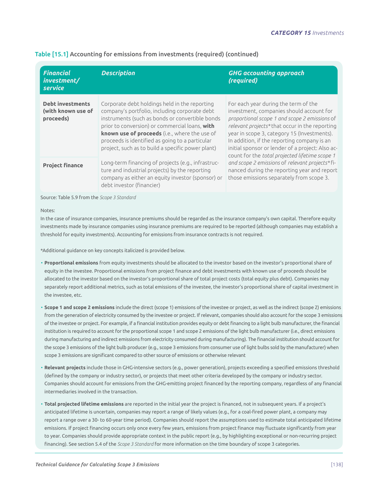| <b>Financial</b><br>investment/<br>service                 | <b>Description</b>                                                                                                                                                                                                                                                                                                                                           | <b>GHG accounting approach</b><br>(required)                                                                                                                                                                                                                                                                                                                                            |
|------------------------------------------------------------|--------------------------------------------------------------------------------------------------------------------------------------------------------------------------------------------------------------------------------------------------------------------------------------------------------------------------------------------------------------|-----------------------------------------------------------------------------------------------------------------------------------------------------------------------------------------------------------------------------------------------------------------------------------------------------------------------------------------------------------------------------------------|
| <b>Debt investments</b><br>(with known use of<br>proceeds) | Corporate debt holdings held in the reporting<br>company's portfolio, including corporate debt<br>instruments (such as bonds or convertible bonds<br>prior to conversion) or commercial loans, with<br>known use of proceeds (i.e., where the use of<br>proceeds is identified as going to a particular<br>project, such as to build a specific power plant) | For each year during the term of the<br>investment, companies should account for<br>proportional scope 1 and scope 2 emissions of<br>relevant projects* that occur in the reporting<br>year in scope 3, category 15 (Investments).<br>In addition, if the reporting company is an<br>initial sponsor or lender of a project: Also ac-<br>count for the total projected lifetime scope 1 |
| <b>Project finance</b>                                     | Long-term financing of projects (e.g., infrastruc-<br>ture and industrial projects) by the reporting<br>company as either an equity investor (sponsor) or<br>debt investor (financier)                                                                                                                                                                       | and scope 2 emissions of relevant projects*fi-<br>nanced during the reporting year and report<br>those emissions separately from scope 3.                                                                                                                                                                                                                                               |

## Table [15.1] Accounting for emissions from investments (required) (continued)

Source: Table 5.9 from the *Scope 3 Standard*

Notes:

In the case of insurance companies, insurance premiums should be regarded as the insurance company's own capital. Therefore equity investments made by insurance companies using insurance premiums are required to be reported (although companies may establish a threshold for equity investments). Accounting for emissions from insurance contracts is not required.

\*Additional guidance on key concepts italicized is provided below.

- **Proportional emissions** from equity investments should be allocated to the investor based on the investor's proportional share of equity in the investee. Proportional emissions from project finance and debt investments with known use of proceeds should be allocated to the investor based on the investor's proportional share of total project costs (total equity plus debt). Companies may separately report additional metrics, such as total emissions of the investee, the investor's proportional share of capital investment in the investee, etc.
- **Scope 1 and scope 2 emissions** include the direct (scope 1) emissions of the investee or project, as well as the indirect (scope 2) emissions from the generation of electricity consumed by the investee or project. If relevant, companies should also account for the scope 3 emissions of the investee or project. For example, if a financial institution provides equity or debt financing to a light bulb manufacturer, the financial institution is required to account for the proportional scope 1 and scope 2 emissions of the light bulb manufacturer (i.e., direct emissions during manufacturing and indirect emissions from electricity consumed during manufacturing). The financial institution should account for the scope 3 emissions of the light bulb producer (e.g., scope 3 emissions from consumer use of light bulbs sold by the manufacturer) when scope 3 emissions are significant compared to other source of emissions or otherwise relevant
- **Relevant projects** include those in GHG-intensive sectors (e.g., power generation), projects exceeding a specified emissions threshold (defined by the company or industry sector), or projects that meet other criteria developed by the company or industry sector. Companies should account for emissions from the GHG-emitting project financed by the reporting company, regardless of any financial intermediaries involved in the transaction.
- **Total projected lifetime emissions** are reported in the initial year the project is financed, not in subsequent years. If a project's anticipated lifetime is uncertain, companies may report a range of likely values (e.g., for a coal-fired power plant, a company may report a range over a 30- to 60-year time period). Companies should report the assumptions used to estimate total anticipated lifetime emissions. If project financing occurs only once every few years, emissions from project finance may fluctuate significantly from year to year. Companies should provide appropriate context in the public report (e.g., by highlighting exceptional or non-recurring project financing). See section 5.4 of the *Scope 3 Standard* for more information on the time boundary of scope 3 categories.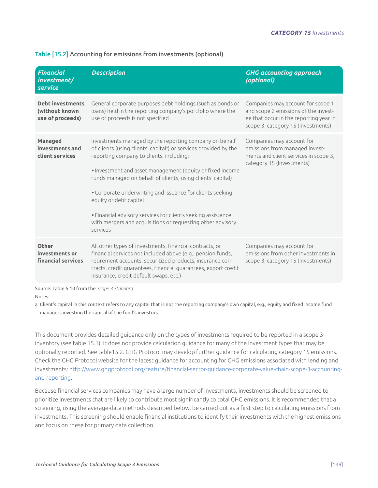| <b>Financial</b><br>investment/<br>service                    | <b>Description</b>                                                                                                                                                                                                                                                                                                                                                                                                                                                                                                                               | <b>GHG accounting approach</b><br>(optional)                                                                                                              |
|---------------------------------------------------------------|--------------------------------------------------------------------------------------------------------------------------------------------------------------------------------------------------------------------------------------------------------------------------------------------------------------------------------------------------------------------------------------------------------------------------------------------------------------------------------------------------------------------------------------------------|-----------------------------------------------------------------------------------------------------------------------------------------------------------|
| <b>Debt investments</b><br>(without known<br>use of proceeds) | General corporate purposes debt holdings (such as bonds or<br>loans) held in the reporting company's portfolio where the<br>use of proceeds is not specified                                                                                                                                                                                                                                                                                                                                                                                     | Companies may account for scope 1<br>and scope 2 emissions of the invest-<br>ee that occur in the reporting year in<br>scope 3, category 15 (Investments) |
| <b>Managed</b><br>investments and<br>client services          | Investments managed by the reporting company on behalf<br>of clients (using clients' capital <sup>a</sup> ) or services provided by the<br>reporting company to clients, including:<br>. Investment and asset management (equity or fixed income<br>funds managed on behalf of clients, using clients' capital)<br>• Corporate underwriting and issuance for clients seeking<br>equity or debt capital<br>· Financial advisory services for clients seeking assistance<br>with mergers and acquisitions or requesting other advisory<br>services | Companies may account for<br>emissions from managed invest-<br>ments and client services in scope 3,<br>category 15 (Investments)                         |
| Other<br>investments or<br><b>financial services</b>          | All other types of investments, financial contracts, or<br>financial services not included above (e.g., pension funds,<br>retirement accounts, securitized products, insurance con-<br>tracts, credit guarantees, financial guarantees, export credit<br>insurance, credit default swaps, etc.)                                                                                                                                                                                                                                                  | Companies may account for<br>emissions from other investments in<br>scope 3, category 15 (Investments)                                                    |

# Table [15.2] Accounting for emissions from investments (optional)

Source: Table 5.10 from the *Scope 3 Standard*

Notes:

a. Client's capital in this context refers to any capital that is not the reporting company's own capital, e.g., equity and fixed income fund managers investing the capital of the fund's investors.

This document provides detailed guidance only on the types of investments required to be reported in a scope 3 inventory (see table 15.1), it does not provide calculation guidance for many of the investment types that may be optionally reported. See table15.2. GHG Protocol may develop further guidance for calculating category 15 emissions. Check the GHG Protocol website for the latest guidance for accounting for GHG emissions associated with lending and investments: <http://www.ghgprotocol.org/feature/financial>-sector-guidance-corporate-value-chain-scope-3-accountingand-reporting.

Because financial services companies may have a large number of investments, investments should be screened to prioritize investments that are likely to contribute most significantly to total GHG emissions. It is recommended that a screening, using the average-data methods described below, be carried out as a first step to calculating emissions from investments. This screening should enable financial institutions to identify their investments with the highest emissions and focus on these for primary data collection.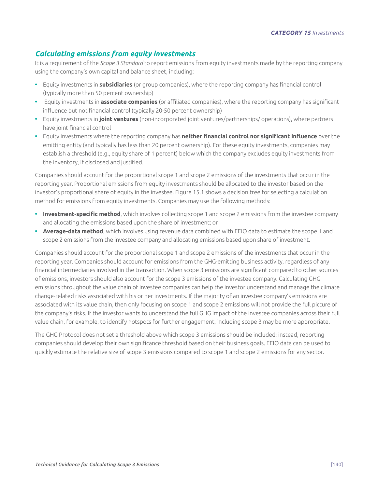# *Calculating emissions from equity investments*

It is a requirement of the *Scope 3 Standard* to report emissions from equity investments made by the reporting company using the company's own capital and balance sheet, including:

- **•** Equity investments in **subsidiaries** (or group companies), where the reporting company has financial control (typically more than 50 percent ownership)
- **•** Equity investments in **associate companies** (or affiliated companies), where the reporting company has significant influence but not financial control (typically 20-50 percent ownership)
- **•** Equity investments in **joint ventures** (non-incorporated joint ventures/partnerships/ operations), where partners have joint financial control
- **•** Equity investments where the reporting company has **neither financial control nor significant influence** over the emitting entity (and typically has less than 20 percent ownership). For these equity investments, companies may establish a threshold (e.g., equity share of 1 percent) below which the company excludes equity investments from the inventory, if disclosed and justified.

Companies should account for the proportional scope 1 and scope 2 emissions of the investments that occur in the reporting year. Proportional emissions from equity investments should be allocated to the investor based on the investor's proportional share of equity in the investee. Figure 15.1 shows a decision tree for selecting a calculation method for emissions from equity investments. Companies may use the following methods:

- **• Investment-specific method**, which involves collecting scope 1 and scope 2 emissions from the investee company and allocating the emissions based upon the share of investment; or
- **• Average-data method**, which involves using revenue data combined with EEIO data to estimate the scope 1 and scope 2 emissions from the investee company and allocating emissions based upon share of investment.

Companies should account for the proportional scope 1 and scope 2 emissions of the investments that occur in the reporting year. Companies should account for emissions from the GHG-emitting business activity, regardless of any financial intermediaries involved in the transaction. When scope 3 emissions are significant compared to other sources of emissions, investors should also account for the scope 3 emissions of the investee company. Calculating GHG emissions throughout the value chain of investee companies can help the investor understand and manage the climate change-related risks associated with his or her investments. If the majority of an investee company's emissions are associated with its value chain, then only focusing on scope 1 and scope 2 emissions will not provide the full picture of the company's risks. If the investor wants to understand the full GHG impact of the investee companies across their full value chain, for example, to identify hotspots for further engagement, including scope 3 may be more appropriate.

The GHG Protocol does not set a threshold above which scope 3 emissions should be included; instead, reporting companies should develop their own significance threshold based on their business goals. EEIO data can be used to quickly estimate the relative size of scope 3 emissions compared to scope 1 and scope 2 emissions for any sector.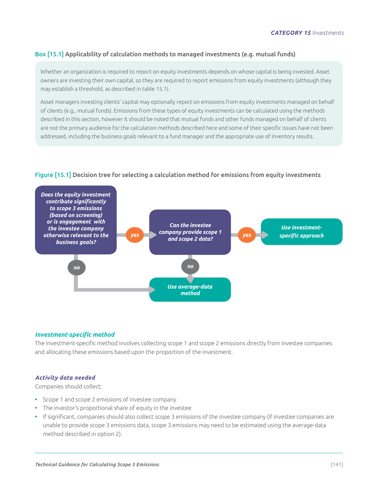# Box [15.1] Applicability of calculation methods to managed investments (e.g. mutual funds)

Whether an organization is required to report on equity investments depends on whose capital is being invested. Asset owners are investing their own capital, so they are required to report emissions from equity investments (although they may establish a threshold, as described in table 15.1).

Asset managers investing clients' capital may optionally report on emissions from equity investments managed on behalf of clients (e.g., mutual funds). Emissions from these types of equity investments can be calculated using the methods described in this section, however it should be noted that mutual funds and other funds managed on behalf of clients are not the primary audience for the calculation methods described here and some of their specific issues have not been addressed, including the business goals relevant to a fund manager and the appropriate use of inventory results.

# Figure [15.1] Decision tree for selecting a calculation method for emissions from equity investments



#### *Investment-specific method*

The investment-specific method involves collecting scope 1 and scope 2 emissions directly from investee companies and allocating these emissions based upon the proportion of the investment.

#### *Activity data needed*

Companies should collect:

- **•** Scope 1 and scope 2 emissions of investee company
- **•** The investor's proportional share of equity in the investee
- **•** If significant, companies should also collect scope 3 emissions of the investee company (if investee companies are unable to provide scope 3 emissions data, scope 3 emissions may need to be estimated using the average-data method described in option 2).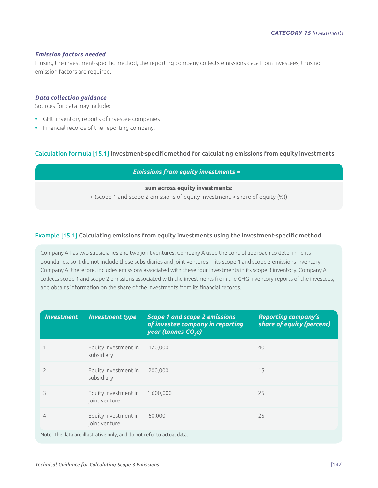#### *Emission factors needed*

If using the investment-specific method, the reporting company collects emissions data from investees, thus no emission factors are required.

#### *Data collection guidance*

Sources for data may include:

- **•** GHG inventory reports of investee companies
- **•** Financial records of the reporting company.

## Calculation formula [15.1] Investment-specific method for calculating emissions from equity investments

*Emissions from equity investments =*

#### **sum across equity investments:**

∑ (scope 1 and scope 2 emissions of equity investment × share of equity (%))

#### Example [15.1] Calculating emissions from equity investments using the investment-specific method

Company A has two subsidiaries and two joint ventures. Company A used the control approach to determine its boundaries, so it did not include these subsidiaries and joint ventures in its scope 1 and scope 2 emissions inventory. Company A, therefore, includes emissions associated with these four investments in its scope 3 inventory. Company A collects scope 1 and scope 2 emissions associated with the investments from the GHG inventory reports of the investees, and obtains information on the share of the investments from its financial records.

| <b>Investment</b>                                                      | <b>Investment type</b>                | <b>Scope 1 and scope 2 emissions</b><br>of investee company in reporting<br>year (tonnes CO <sub>,e</sub> ) | <b>Reporting company's</b><br>share of equity (percent) |  |
|------------------------------------------------------------------------|---------------------------------------|-------------------------------------------------------------------------------------------------------------|---------------------------------------------------------|--|
|                                                                        | Equity Investment in<br>subsidiary    | 120,000                                                                                                     | 40                                                      |  |
| $\overline{\phantom{0}}$                                               | Equity Investment in<br>subsidiary    | 200,000                                                                                                     | 15                                                      |  |
| 3                                                                      | Equity investment in<br>joint venture | 1,600,000                                                                                                   | 25                                                      |  |
| 4                                                                      | Equity investment in<br>joint venture | 60.000                                                                                                      | 25                                                      |  |
| Note: The data are illustrative only, and do not refer to actual data. |                                       |                                                                                                             |                                                         |  |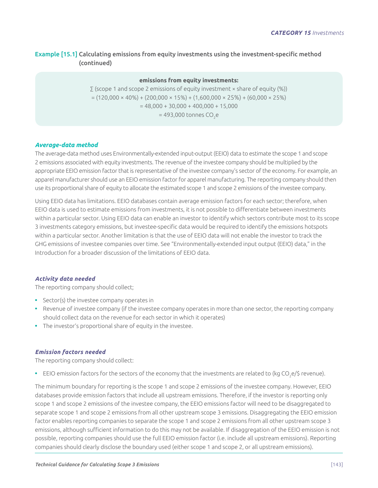# Example [15.1] Calculating emissions from equity investments using the investment-specific method (continued)

## **emissions from equity investments:**

∑ (scope 1 and scope 2 emissions of equity investment × share of equity (%))  $= (120,000 \times 40\%) + (200,000 \times 15\%) + (1,600,000 \times 25\%) + (60,000 \times 25\%)$  $= 48,000 + 30,000 + 400,000 + 15,000$  $= 493,000$  tonnes CO<sub>2</sub>e

## *Average-data method*

The average-data method uses Environmentally-extended input-output (EEIO) data to estimate the scope 1 and scope 2 emissions associated with equity investments. The revenue of the investee company should be multiplied by the appropriate EEIO emission factor that is representative of the investee company's sector of the economy. For example, an apparel manufacturer should use an EEIO emission factor for apparel manufacturing. The reporting company should then use its proportional share of equity to allocate the estimated scope 1 and scope 2 emissions of the investee company.

Using EEIO data has limitations. EEIO databases contain average emission factors for each sector; therefore, when EEIO data is used to estimate emissions from investments, it is not possible to differentiate between investments within a particular sector. Using EEIO data can enable an investor to identify which sectors contribute most to its scope 3 investments category emissions, but investee-specific data would be required to identify the emissions hotspots within a particular sector. Another limitation is that the use of EEIO data will not enable the investor to track the GHG emissions of investee companies over time. See "Environmentally-extended input output (EEIO) data," in the Introduction for a broader discussion of the limitations of EEIO data.

#### *Activity data needed*

The reporting company should collect;

- **•** Sector(s) the investee company operates in
- **•** Revenue of investee company (if the investee company operates in more than one sector, the reporting company should collect data on the revenue for each sector in which it operates)
- **•** The investor's proportional share of equity in the investee.

# *Emission factors needed*

The reporting company should collect:

 $\bullet$   $\,$  EEIO emission factors for the sectors of the economy that the investments are related to (kg CO<sub>2</sub>e/\$ revenue).

The minimum boundary for reporting is the scope 1 and scope 2 emissions of the investee company. However, EEIO databases provide emission factors that include all upstream emissions. Therefore, if the investor is reporting only scope 1 and scope 2 emissions of the investee company, the EEIO emissions factor will need to be disaggregated to separate scope 1 and scope 2 emissions from all other upstream scope 3 emissions. Disaggregating the EEIO emission factor enables reporting companies to separate the scope 1 and scope 2 emissions from all other upstream scope 3 emissions, although sufficient information to do this may not be available. If disaggregation of the EEIO emission is not possible, reporting companies should use the full EEIO emission factor (i.e. include all upstream emissions). Reporting companies should clearly disclose the boundary used (either scope 1 and scope 2, or all upstream emissions).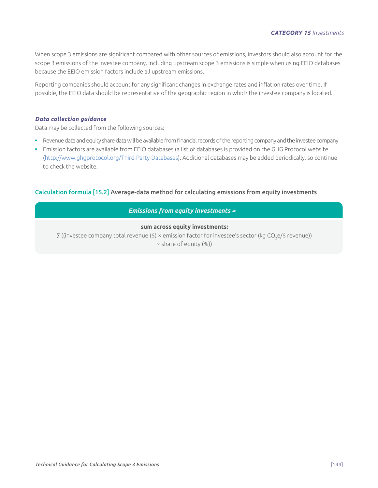#### *CATEGORY 15 Investments*

When scope 3 emissions are significant compared with other sources of emissions, investors should also account for the scope 3 emissions of the investee company. Including upstream scope 3 emissions is simple when using EEIO databases because the EEIO emission factors include all upstream emissions.

Reporting companies should account for any significant changes in exchange rates and inflation rates over time. If possible, the EEIO data should be representative of the geographic region in which the investee company is located.

#### *Data collection guidance*

Data may be collected from the following sources:

- **•** Revenue data and equity share data will be available from financial records of the reporting company and the investee company
- **•** Emission factors are available from EEIO databases (a list of databases is provided on the GHG Protocol website (<http://www.ghgprotocol.org/Third-Party-Databases>). Additional databases may be added periodically, so continue to check the website.

#### Calculation formula [15.2] Average-data method for calculating emissions from equity investments

# *Emissions from equity investments =*

## **sum across equity investments:**

∑ ((investee company total revenue (\$) × emission factor for investee's sector (kg CO<sub>2</sub>e/\$ revenue))

 $\times$  share of equity  $(\%)$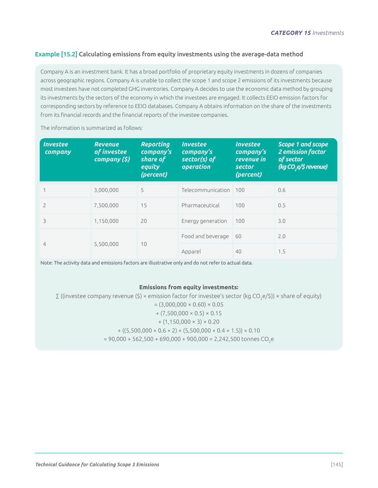# Example [15.2] Calculating emissions from equity investments using the average-data method

Company A is an investment bank. It has a broad portfolio of proprietary equity investments in dozens of companies across geographic regions. Company A is unable to collect the scope 1 and scope 2 emissions of its investments because most investees have not completed GHG inventories. Company A decides to use the economic data method by grouping its investments by the sectors of the economy in which the investees are engaged. It collects EEIO emission factors for corresponding sectors by reference to EEIO databases. Company A obtains information on the share of the investments from its financial records and the financial reports of the investee companies.

The information is summarized as follows:

| <b>Investee</b><br>company | <b>Revenue</b><br>of investee<br>company (§) | <b>Reporting</b><br>company's<br>share of<br>equity<br>(percent) | <b>Investee</b><br>company's<br>sector(s) of<br>operation | <b>Investee</b><br>company's<br>revenue in<br>sector<br>(percent) | <b>Scope 1 and scope</b><br><b>2 emission factor</b><br>of sector<br>(kg CO <sub>,</sub> e/\$ revenue) |
|----------------------------|----------------------------------------------|------------------------------------------------------------------|-----------------------------------------------------------|-------------------------------------------------------------------|--------------------------------------------------------------------------------------------------------|
|                            | 3,000,000                                    | 5                                                                | Telecommunication                                         | 100                                                               | 0.6                                                                                                    |
| $\mathcal{P}$              | 7,500,000                                    | 15                                                               | Pharmaceutical                                            | 100                                                               | 0.5                                                                                                    |
| 3                          | 1,150,000                                    | 20                                                               | Energy generation                                         | 100                                                               | 3.0                                                                                                    |
|                            |                                              |                                                                  | Food and beverage                                         | 60                                                                | 2.0                                                                                                    |
| $\overline{4}$             | 5,500,000                                    | 10                                                               | Apparel                                                   | 40                                                                | 1.5                                                                                                    |

Note: The activity data and emissions factors are illustrative only and do not refer to actual data.

#### **Emissions from equity investments:**

∑ ((investee company revenue (\$) × emission factor for investee's sector (kg CO<sub>2</sub>e/\$)) × share of equity)  $=(3,000,000 \times 0.60) \times 0.05$  $+(7,500,000 \times 0.5) \times 0.15$  $+(1,150,000 \times 3) \times 0.20$  $+ ((5,500,000 \times 0.6 \times 2) + (5,500,000 \times 0.4 \times 1.5)) \times 0.10$  $= 90,000 + 562,500 + 690,000 + 900,000 = 2,242,500$  tonnes CO<sub>2</sub>e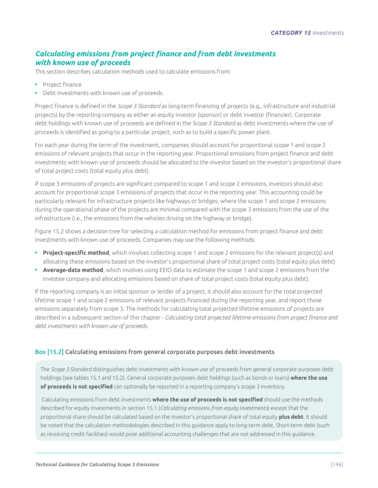# *Calculating emissions from project finance and from debt investments with known use of proceeds*

This section describes calculation methods used to calculate emissions from:

- **•** Project finance
- **•** Debt investments with known use of proceeds.

Project finance is defined in the *Scope 3 Standard* as long-term financing of projects (e.g., infrastructure and industrial projects) by the reporting company as either an equity investor (sponsor) or debt investor (financier). Corporate debt holdings with known use of proceeds are defined in the *Scope 3 Standard* as debt investments where the use of proceeds is identified as going to a particular project, such as to build a specific power plant.

For each year during the term of the investment, companies should account for proportional scope 1 and scope 2 emissions of relevant projects that occur in the reporting year. Proportional emissions from project finance and debt investments with known use of proceeds should be allocated to the investor based on the investor's proportional share of total project costs (total equity plus debt).

If scope 3 emissions of projects are significant compared to scope 1 and scope 2 emissions, investors should also account for proportional scope 3 emissions of projects that occur in the reporting year. This accounting could be particularly relevant for infrastructure projects like highways or bridges, where the scope 1 and scope 2 emissions during the operational phase of the projects are minimal compared with the scope 3 emissions from the use of the infrastructure (i.e., the emissions from the vehicles driving on the highway or bridge).

Figure 15.2 shows a decision tree for selecting a calculation method for emissions from project finance and debt investments with known use of proceeds. Companies may use the following methods:

- **• Project-specific method**, which involves collecting scope 1 and scope 2 emissions for the relevant project(s) and allocating these emissions based on the investor's proportional share of total project costs (total equity plus debt)
- **• Average-data method**, which involves using EEIO data to estimate the scope 1 and scope 2 emissions from the investee company and allocating emissions based on share of total project costs (total equity plus debt).

If the reporting company is an initial sponsor or lender of a project, it should also account for the total projected lifetime scope 1 and scope 2 emissions of relevant projects financed during the reporting year, and report those emissions separately from scope 3. The methods for calculating total projected lifetime emissions of projects are described in a subsequent section of this chapter - *Calculating total projected lifetime emissions from project finance and debt investments with known use of proceeds*.

# Box [15.2] Calculating emissions from general corporate purposes debt investments

The *Scope 3 Standard* distinguishes debt investments with known use of proceeds from general corporate purposes debt holdings (see tables 15.1 and 15.2). General corporate purposes debt holdings (such as bonds or loans) **where the use of proceeds is not specified** can optionally be reported in a reporting company's scope 3 inventory.

 Calculating emissions from debt investments **where the use of proceeds is not specified** should use the methods described for equity investments in section 15.1 (*Calculating emissions from equity investments*) except that the proportional share should be calculated based on the investor's proportional share of total equity **plus debt**. It should be noted that the calculation methodologies described in this guidance apply to long-term debt. Short-term debt (such as revolving credit facilities) would pose additional accounting challenges that are not addressed in this guidance.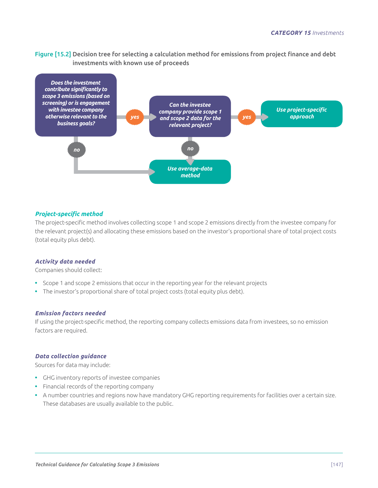Figure [15.2] Decision tree for selecting a calculation method for emissions from project finance and debt investments with known use of proceeds



## *Project-specific method*

The project-specific method involves collecting scope 1 and scope 2 emissions directly from the investee company for the relevant project(s) and allocating these emissions based on the investor's proportional share of total project costs (total equity plus debt).

#### *Activity data needed*

Companies should collect:

- **•** Scope 1 and scope 2 emissions that occur in the reporting year for the relevant projects
- **•** The investor's proportional share of total project costs (total equity plus debt).

#### *Emission factors needed*

If using the project-specific method, the reporting company collects emissions data from investees, so no emission factors are required.

#### *Data collection guidance*

Sources for data may include:

- **•** GHG inventory reports of investee companies
- **•** Financial records of the reporting company
- **•** A number countries and regions now have mandatory GHG reporting requirements for facilities over a certain size. These databases are usually available to the public.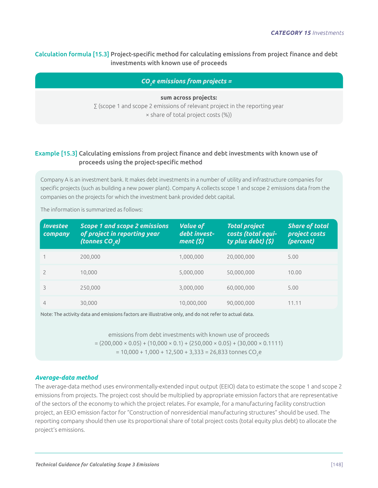# Calculation formula [15.3] Project-specific method for calculating emissions from project finance and debt investments with known use of proceeds

*CO2 e emissions from projects =* 

**sum across projects:** ∑ (scope 1 and scope 2 emissions of relevant project in the reporting year × share of total project costs (%))

# Example [15.3] Calculating emissions from project finance and debt investments with known use of proceeds using the project-specific method

Company A is an investment bank. It makes debt investments in a number of utility and infrastructure companies for specific projects (such as building a new power plant). Company A collects scope 1 and scope 2 emissions data from the companies on the projects for which the investment bank provided debt capital.

| <i><b>Investee</b></i><br>company | <b>Scope 1 and scope 2 emissions</b><br>of project in reporting year<br>(tonnes CO <sub>,</sub> e) | <b>Value of</b><br>debt invest-<br>ment(5) | <b>Total project</b><br>costs (total equi-<br>ty plus debt) (\$) | <b>Share of total</b><br>project costs<br>(percent) |
|-----------------------------------|----------------------------------------------------------------------------------------------------|--------------------------------------------|------------------------------------------------------------------|-----------------------------------------------------|
|                                   | 200,000                                                                                            | 1,000,000                                  | 20,000,000                                                       | 5.00                                                |
|                                   | 10.000                                                                                             | 5,000,000                                  | 50,000,000                                                       | 10.00                                               |
|                                   | 250,000                                                                                            | 3,000,000                                  | 60,000,000                                                       | 5.00                                                |
| 4                                 | 30,000                                                                                             | 10,000,000                                 | 90,000,000                                                       | 11.11                                               |

The information is summarized as follows:

Note: The activity data and emissions factors are illustrative only, and do not refer to actual data.

emissions from debt investments with known use of proceeds  $= (200,000 \times 0.05) + (10,000 \times 0.1) + (250,000 \times 0.05) + (30,000 \times 0.1111)$  $= 10,000 + 1,000 + 12,500 + 3,333 = 26,833$  tonnes CO<sub>2</sub>e

# *Average-data method*

The average-data method uses environmentally-extended input output (EEIO) data to estimate the scope 1 and scope 2 emissions from projects. The project cost should be multiplied by appropriate emission factors that are representative of the sectors of the economy to which the project relates. For example, for a manufacturing facility construction project, an EEIO emission factor for "Construction of nonresidential manufacturing structures" should be used. The reporting company should then use its proportional share of total project costs (total equity plus debt) to allocate the project's emissions.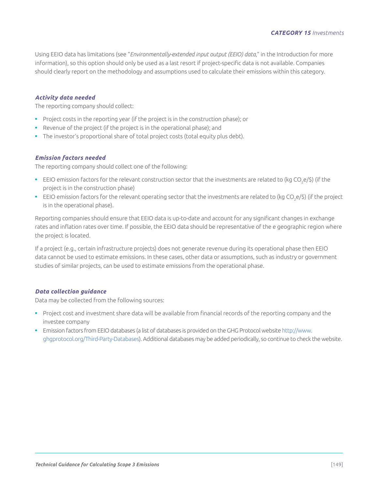Using EEIO data has limitations (see "*Environmentally-extended input output (EEIO) data*," in the Introduction for more information), so this option should only be used as a last resort if project-specific data is not available. Companies should clearly report on the methodology and assumptions used to calculate their emissions within this category.

## *Activity data needed*

The reporting company should collect:

- **•** Project costs in the reporting year (if the project is in the construction phase); or
- **•** Revenue of the project (if the project is in the operational phase); and
- **•** The investor's proportional share of total project costs (total equity plus debt).

## *Emission factors needed*

The reporting company should collect one of the following:

- EEIO emission factors for the relevant construction sector that the investments are related to (kg CO<sub>2</sub>e/\$) (if the project is in the construction phase)
- EEIO emission factors for the relevant operating sector that the investments are related to (kg CO<sub>2</sub>e/\$) (if the project is in the operational phase).

Reporting companies should ensure that EEIO data is up-to-date and account for any significant changes in exchange rates and inflation rates over time. If possible, the EEIO data should be representative of the e geographic region where the project is located.

If a project (e.g., certain infrastructure projects) does not generate revenue during its operational phase then EEIO data cannot be used to estimate emissions. In these cases, other data or assumptions, such as industry or government studies of similar projects, can be used to estimate emissions from the operational phase.

# *Data collection guidance*

Data may be collected from the following sources:

- **•** Project cost and investment share data will be available from financial records of the reporting company and the investee company
- **•** Emission factors from EEIO databases (a list of databases is provided on the GHG Protocol website [http://www.](http://www.ghgprotocol.org/Third-Party-Databases) [ghgprotocol.org/Third-Party-Databases](http://www.ghgprotocol.org/Third-Party-Databases)). Additional databases may be added periodically, so continue to check the website.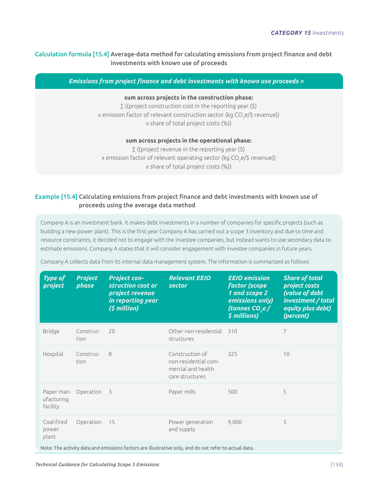# Calculation formula [15.4] Average-data method for calculating emissions from project finance and debt investments with known use of proceeds

*Emissions from project finance and debt investments with known use proceeds =*

#### **sum across projects in the construction phase:**

 $\Sigma$  ((project construction cost in the reporting year (\$) x emission factor of relevant construction sector (kg CO<sub>2</sub>e/\$ revenue)) x share of total project costs (%))

#### **sum across projects in the operational phase:**

∑ ((project revenue in the reporting year (\$) x emission factor of relevant operating sector (kg CO $_2$ e/\$ revenue)) x share of total project costs (%))

# Example [15.4] Calculating emissions from project finance and debt investments with known use of proceeds using the average data method

Company A is an investment bank. It makes debt investments in a number of companies for specific projects (such as building a new power plant). This is the first year Company A has carried out a scope 3 inventory and due to time and resource constraints, it decided not to engage with the investee companies, but instead wants to use secondary data to estimate emissions. Company A states that it will consider engagement with investee companies in future years.

| <b>Type of</b><br>project                                                                             | <b>Project</b><br>phase | <b>Project con-</b><br>struction cost or<br>project revenue<br>in reporting year<br>(\$ million) | <b>Relevant EEIO</b><br>sector                                                   | <b>EEIO</b> emission<br><b>factor</b> (scope<br>1 and scope 2<br>emissions only)<br>(tonnes CO <sub>,</sub> e/<br>\$ millions) | <b>Share of total</b><br>project costs<br>(value of debt<br>investment / total<br>equity plus debt)<br>(percent) |
|-------------------------------------------------------------------------------------------------------|-------------------------|--------------------------------------------------------------------------------------------------|----------------------------------------------------------------------------------|--------------------------------------------------------------------------------------------------------------------------------|------------------------------------------------------------------------------------------------------------------|
| <b>Bridge</b>                                                                                         | Construc-<br>tion       | 20                                                                                               | Other non-residential<br>structures                                              | 310                                                                                                                            | 7                                                                                                                |
| Hospital                                                                                              | Construc-<br>tion       | 8                                                                                                | Construction of<br>non-residential com-<br>mercial and health<br>care structures | 325                                                                                                                            | 10                                                                                                               |
| Paper man-<br>ufacturing<br>facility                                                                  | Operation               | $\overline{\mathbf{3}}$                                                                          | Paper mills                                                                      | 500                                                                                                                            | 5                                                                                                                |
| Coal-fired<br>power<br>plant                                                                          | Operation               | 15                                                                                               | Power generation<br>and supply                                                   | 9,000                                                                                                                          | 5                                                                                                                |
| Note: The activity data and emissions factors are illustrative only, and do not refer to actual data. |                         |                                                                                                  |                                                                                  |                                                                                                                                |                                                                                                                  |

Company A collects data from its internal data management system. The information is summarized as follows: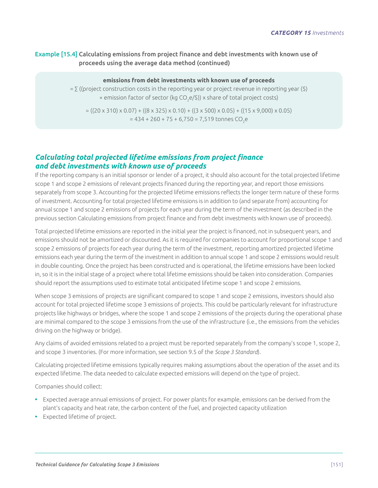# Example [15.4] Calculating emissions from project finance and debt investments with known use of proceeds using the average data method (continued)

#### **emissions from debt investments with known use of proceeds**

 $=$   $\sum$  ((project construction costs in the reporting year or project revenue in reporting year (\$)  $\times$  emission factor of sector (kg CO<sub>2</sub>e/\$))  $\times$  share of total project costs)

 $= ((20 \times 310) \times 0.07) + ((8 \times 325) \times 0.10) + ((3 \times 500) \times 0.05) + ((15 \times 9,000) \times 0.05)$  $= 434 + 260 + 75 + 6,750 = 7,519$  tonnes CO<sub>2</sub>e

# *Calculating total projected lifetime emissions from project finance and debt investments with known use of proceeds*

If the reporting company is an initial sponsor or lender of a project, it should also account for the total projected lifetime scope 1 and scope 2 emissions of relevant projects financed during the reporting year, and report those emissions separately from scope 3. Accounting for the projected lifetime emissions reflects the longer term nature of these forms of investment. Accounting for total projected lifetime emissions is in addition to (and separate from) accounting for annual scope 1 and scope 2 emissions of projects for each year during the term of the investment (as described in the previous section Calculating emissions from project finance and from debt investments with known use of proceeds).

Total projected lifetime emissions are reported in the initial year the project is financed, not in subsequent years, and emissions should not be amortized or discounted. As it is required for companies to account for proportional scope 1 and scope 2 emissions of projects for each year during the term of the investment, reporting amortized projected lifetime emissions each year during the term of the investment in addition to annual scope 1 and scope 2 emissions would result in double counting. Once the project has been constructed and is operational, the lifetime emissions have been locked in, so it is in the initial stage of a project where total lifetime emissions should be taken into consideration. Companies should report the assumptions used to estimate total anticipated lifetime scope 1 and scope 2 emissions.

When scope 3 emissions of projects are significant compared to scope 1 and scope 2 emissions, investors should also account for total projected lifetime scope 3 emissions of projects. This could be particularly relevant for infrastructure projects like highways or bridges, where the scope 1 and scope 2 emissions of the projects during the operational phase are minimal compared to the scope 3 emissions from the use of the infrastructure (i.e., the emissions from the vehicles driving on the highway or bridge).

Any claims of avoided emissions related to a project must be reported separately from the company's scope 1, scope 2, and scope 3 inventories. (For more information, see section 9.5 of the *Scope 3 Standard*).

Calculating projected lifetime emissions typically requires making assumptions about the operation of the asset and its expected lifetime. The data needed to calculate expected emissions will depend on the type of project.

Companies should collect:

- **•** Expected average annual emissions of project. For power plants for example, emissions can be derived from the plant's capacity and heat rate, the carbon content of the fuel, and projected capacity utilization
- **•** Expected lifetime of project.